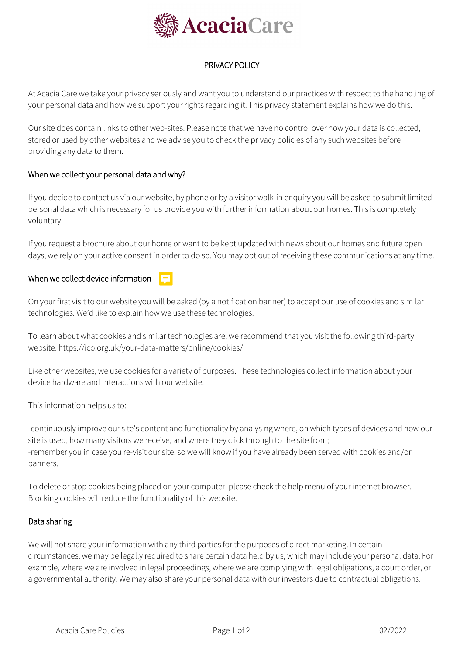

# PRIVACY POLICY

At Acacia Care we take your privacy seriously and want you to understand our practices with respect to the handling of your personal data and how we support your rights regarding it. This privacy statement explains how we do this.

Our site does contain links to other web-sites. Please note that we have no control over how your data is collected, stored or used by other websites and we advise you to check the privacy policies of any such websites before providing any data to them.

## When we collect your personal data and why?

If you decide to contact us via our website, by phone or by a visitor walk-in enquiry you will be asked to submit limited personal data which is necessary for us provide you with further information about our homes. This is completely voluntary.

If you request a brochure about our home or want to be kept updated with news about our homes and future open days, we rely on your active consent in order to do so. You may opt out of receiving these communications at any time.

## When we collect device information

On your first visit to our website you will be asked (by a notification banner) to accept our use of cookies and similar technologies. We'd like to explain how we use these technologies.

To learn about what cookies and similar technologies are, we recommend that you visit the following third-party website: https://ico.org.uk/your-data-matters/online/cookies/

Like other websites, we use cookies for a variety of purposes. These technologies collect information about your device hardware and interactions with our website.

This information helps us to:

-continuously improve our site's content and functionality by analysing where, on which types of devices and how our site is used, how many visitors we receive, and where they click through to the site from; -remember you in case you re-visit our site, so we will know if you have already been served with cookies and/or banners.

To delete or stop cookies being placed on your computer, please check the help menu of your internet browser. Blocking cookies will reduce the functionality of this website.

### Data sharing

We will not share your information with any third parties for the purposes of direct marketing. In certain circumstances, we may be legally required to share certain data held by us, which may include your personal data. For example, where we are involved in legal proceedings, where we are complying with legal obligations, a court order, or a governmental authority. We may also share your personal data with our investors due to contractual obligations.